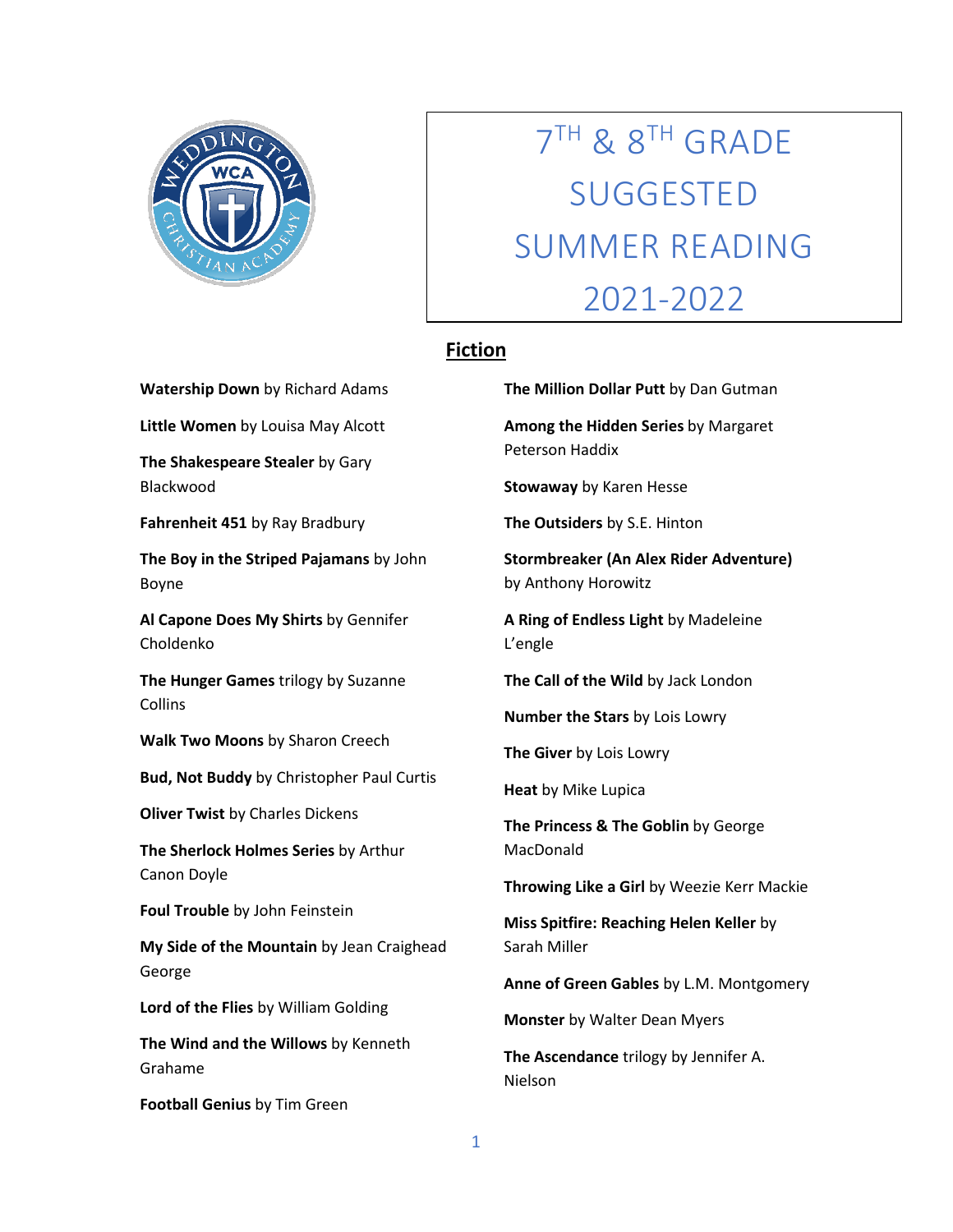

## 7TH & 8TH GRADE SUGGESTED SUMMER READING 2021-2022

## **Fiction**

**Watership Down** by Richard Adams

**Little Women** by Louisa May Alcott

**The Shakespeare Stealer** by Gary Blackwood

**Fahrenheit 451** by Ray Bradbury

**The Boy in the Striped Pajamans** by John Boyne

**Al Capone Does My Shirts** by Gennifer Choldenko

**The Hunger Games** trilogy by Suzanne **Collins** 

**Walk Two Moons** by Sharon Creech

**Bud, Not Buddy** by Christopher Paul Curtis

**Oliver Twist** by Charles Dickens

**The Sherlock Holmes Series** by Arthur Canon Doyle

**Foul Trouble** by John Feinstein

**My Side of the Mountain** by Jean Craighead George

**Lord of the Flies** by William Golding

**The Wind and the Willows** by Kenneth Grahame

**Football Genius** by Tim Green

**The Million Dollar Putt** by Dan Gutman

**Among the Hidden Series** by Margaret Peterson Haddix

**Stowaway** by Karen Hesse

**The Outsiders** by S.E. Hinton

**Stormbreaker (An Alex Rider Adventure)** by Anthony Horowitz

**A Ring of Endless Light** by Madeleine L'engle

**The Call of the Wild** by Jack London

**Number the Stars** by Lois Lowry

**The Giver** by Lois Lowry

**Heat** by Mike Lupica

**The Princess & The Goblin** by George MacDonald

**Throwing Like a Girl** by Weezie Kerr Mackie

**Miss Spitfire: Reaching Helen Keller** by Sarah Miller

**Anne of Green Gables** by L.M. Montgomery

**Monster** by Walter Dean Myers

**The Ascendance** trilogy by Jennifer A. Nielson